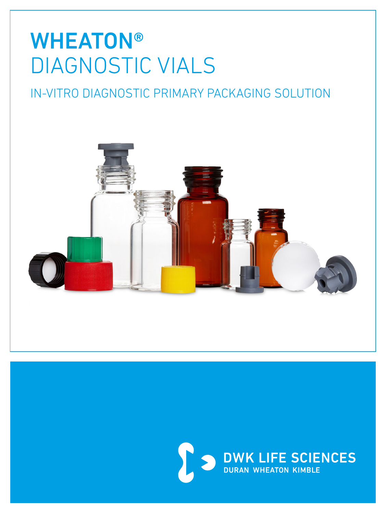# **WHEATON®** DIAGNOSTIC VIALS

## IN-VITRO DIAGNOSTIC PRIMARY PACKAGING SOLUTION



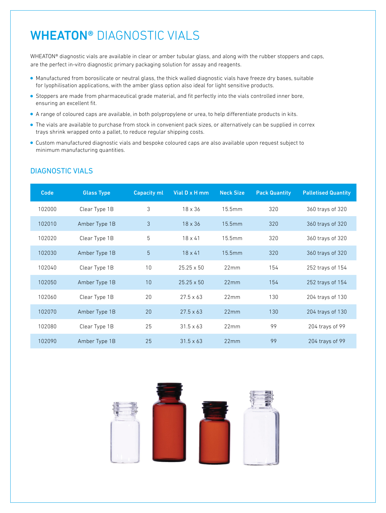### WHEATON® DIAGNOSTIC VIALS

WHEATON® diagnostic vials are available in clear or amber tubular glass, and along with the rubber stoppers and caps, are the perfect in-vitro diagnostic primary packaging solution for assay and reagents.

- Manufactured from borosilicate or neutral glass, the thick walled diagnostic vials have freeze dry bases, suitable for lyophilisation applications, with the amber glass option also ideal for light sensitive products.
- Stoppers are made from pharmaceutical grade material, and fit perfectly into the vials controlled inner bore, ensuring an excellent fit.
- A range of coloured caps are available, in both polypropylene or urea, to help differentiate products in kits.
- The vials are available to purchase from stock in convenient pack sizes, or alternatively can be supplied in correx trays shrink wrapped onto a pallet, to reduce regular shipping costs.
- Custom manufactured diagnostic vials and bespoke coloured caps are also available upon request subject to minimum manufacturing quantities.

| Code   | <b>Glass Type</b> | <b>Capacity ml</b> | Vial D x H mm     | <b>Neck Size</b> | <b>Pack Quantity</b> | <b>Palletised Quantity</b> |
|--------|-------------------|--------------------|-------------------|------------------|----------------------|----------------------------|
| 102000 | Clear Type 1B     | 3                  | $18 \times 36$    | 15.5mm           | 320                  | 360 trays of 320           |
| 102010 | Amber Type 1B     | 3                  | $18 \times 36$    | 15.5mm           | 320                  | 360 trays of 320           |
| 102020 | Clear Type 1B     | 5                  | $18 \times 41$    | 15.5mm           | 320                  | 360 trays of 320           |
| 102030 | Amber Type 1B     | 5                  | $18 \times 41$    | 15.5mm           | 320                  | 360 trays of 320           |
| 102040 | Clear Type 1B     | 10                 | $25.25 \times 50$ | 22mm             | 154                  | 252 trays of 154           |
| 102050 | Amber Type 1B     | 10                 | $25.25 \times 50$ | 22mm             | 154                  | 252 trays of 154           |
| 102060 | Clear Type 1B     | 20                 | $27.5 \times 63$  | 22mm             | 130                  | 204 trays of 130           |
| 102070 | Amber Type 1B     | 20                 | $27.5 \times 63$  | 22mm             | 130                  | 204 trays of 130           |
| 102080 | Clear Type 1B     | 25                 | $31.5 \times 63$  | 22mm             | 99                   | 204 trays of 99            |
| 102090 | Amber Type 1B     | 25                 | $31.5 \times 63$  | 22mm             | 99                   | 204 trays of 99            |

#### DIAGNOSTIC VIALS

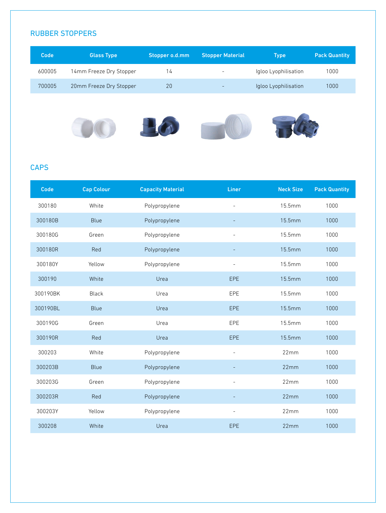#### RUBBER STOPPERS

| Code   | <b>Glass Type</b>       | Stopper o.d.mm | <b>Stopper Material</b>  | <b>Type</b>          | <b>Pack Quantity</b> |
|--------|-------------------------|----------------|--------------------------|----------------------|----------------------|
| 600005 | 14mm Freeze Dry Stopper | 14             | $\overline{\phantom{0}}$ | Igloo Lyophilisation | 1000                 |
| 700005 | 20mm Freeze Dry Stopper | 20             |                          | Igloo Lyophilisation | 1000                 |
|        |                         |                |                          | -                    |                      |

#### **CAPS**

| Code     | <b>Cap Colour</b> | <b>Capacity Material</b> | Liner                    | <b>Neck Size</b> | <b>Pack Quantity</b> |
|----------|-------------------|--------------------------|--------------------------|------------------|----------------------|
| 300180   | White             | Polypropylene            |                          | 15.5mm           | 1000                 |
| 300180B  | Blue              | Polypropylene            |                          | 15.5mm           | 1000                 |
| 300180G  | Green             | Polypropylene            | $\overline{\phantom{a}}$ | 15.5mm           | 1000                 |
| 300180R  | Red               | Polypropylene            |                          | 15.5mm           | 1000                 |
| 300180Y  | Yellow            | Polypropylene            | $\overline{\phantom{a}}$ | 15.5mm           | 1000                 |
| 300190   | White             | Urea                     | EPE                      | 15.5mm           | 1000                 |
| 300190BK | <b>Black</b>      | Urea                     | EPE                      | 15.5mm           | 1000                 |
| 300190BL | Blue              | Urea                     | <b>EPE</b>               | 15.5mm           | 1000                 |
| 300190G  | Green             | Urea                     | EPE                      | 15.5mm           | 1000                 |
| 300190R  | Red               | Urea                     | EPE                      | 15.5mm           | 1000                 |
| 300203   | White             | Polypropylene            | $\overline{\phantom{a}}$ | 22mm             | 1000                 |
| 300203B  | <b>Blue</b>       | Polypropylene            |                          | 22mm             | 1000                 |
| 300203G  | Green             | Polypropylene            | $\overline{\phantom{a}}$ | 22mm             | 1000                 |
| 300203R  | Red               | Polypropylene            |                          | 22mm             | 1000                 |
| 300203Y  | Yellow            | Polypropylene            | $\overline{\phantom{a}}$ | 22mm             | 1000                 |
| 300208   | White             | Urea                     | <b>EPE</b>               | 22mm             | 1000                 |